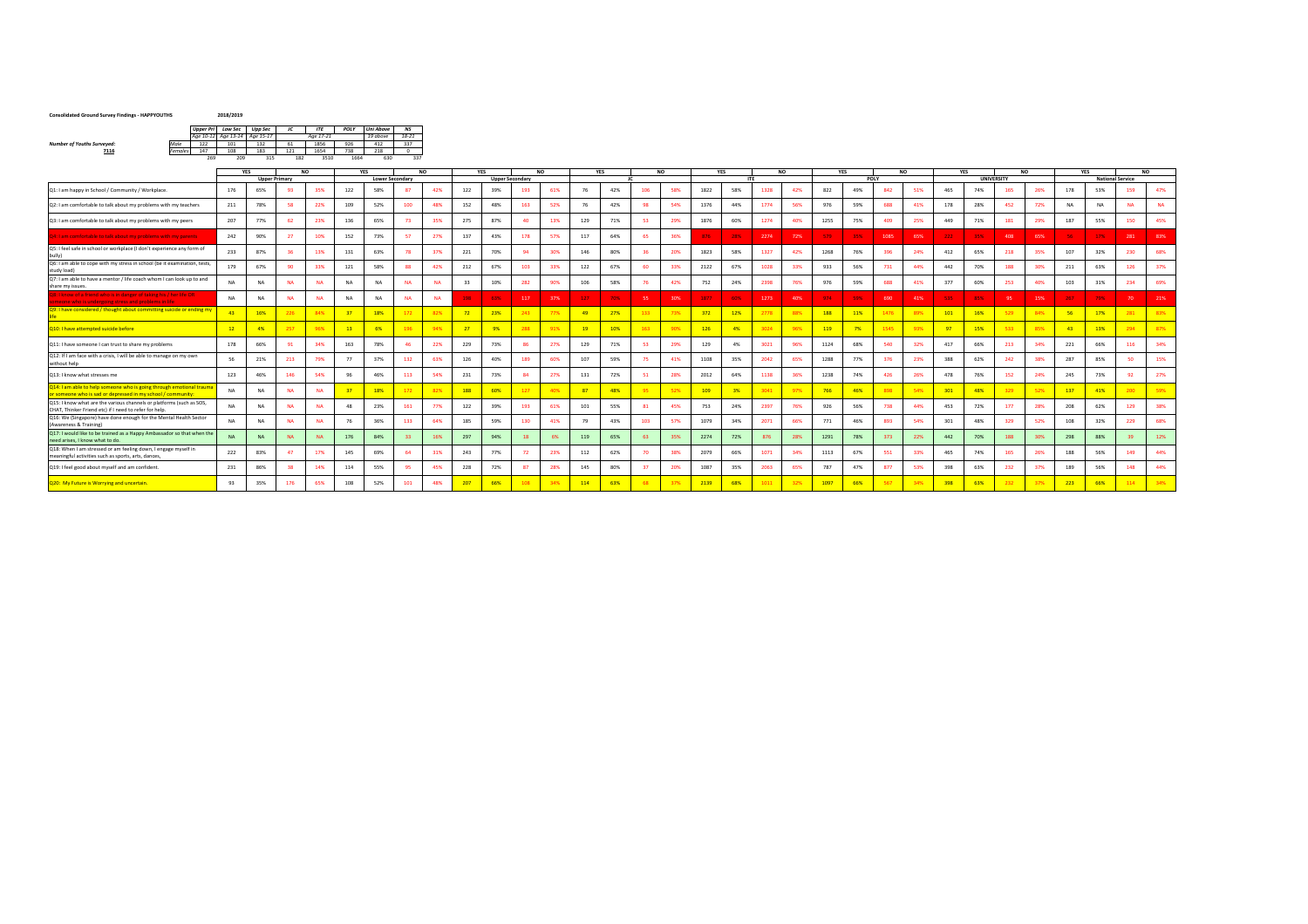## **Consolidated Ground Survey Findings - HAPPYOUTHS 2018/2019**

|                                   |         | <b>Upper Pri</b> | Low Sec   | <b>Upp Sec</b> | ᄮ   | <b>ITE</b> | POLY | <b>Uni Above</b> | <b>NS</b> |
|-----------------------------------|---------|------------------|-----------|----------------|-----|------------|------|------------------|-----------|
|                                   |         | Age 10-12        | Age 13-14 | Age 15-17      |     | Age 17-21  |      | 19 above         | $18 - 21$ |
| <b>Number of Youths Surveyed:</b> | Male    | 122              | 101       | 132            | 61  | 1856       | 926  | 412              | 337       |
| 7116                              | Females | 147              | 108       | 183            | 121 | 1654       | 738  | 218              |           |
|                                   |         | 269              | 209       | 315            | 182 | 3510       | 1664 | 630              | 337       |

|                                                                                                                                      | <b>YES</b><br><b>YES</b><br><b>NO</b><br>NO. |                      |           | <b>YES</b><br><b>NO</b> |           |                        |           | YES       | <b>NO</b> |     |                        | <b>YES</b><br><b>NO</b> |     |                 | <b>YES</b><br><b>NO</b> |     |      | <b>YES</b><br><b>NO</b> |      |     |      | YES<br><b>NO</b> |      |     |                   |     |     |     |           |           |                         |           |
|--------------------------------------------------------------------------------------------------------------------------------------|----------------------------------------------|----------------------|-----------|-------------------------|-----------|------------------------|-----------|-----------|-----------|-----|------------------------|-------------------------|-----|-----------------|-------------------------|-----|------|-------------------------|------|-----|------|------------------|------|-----|-------------------|-----|-----|-----|-----------|-----------|-------------------------|-----------|
|                                                                                                                                      |                                              | <b>Upper Primary</b> |           |                         |           | <b>Lower Secondary</b> |           |           |           |     | <b>Upper Secondary</b> |                         |     | $\overline{16}$ |                         |     |      | <b>ITE</b>              |      |     |      |                  | POLY |     | <b>UNIVERSITY</b> |     |     |     |           |           | <b>National Service</b> |           |
| Q1: I am happy in School / Community / Workplace.                                                                                    | 176                                          | 65%                  | -q3       | 35%                     | 122       | 58%                    | -97       | 42%       | 122       | 39% | 193                    | 61%                     | 76  | 42%             | 106                     | 58% | 1822 | 58%                     | 1328 | 42% | 822  | 49%              | 842  | 51% | 465               | 74% | 165 | 26% | 178       | 53%       | 159                     | 47%       |
| Q2: I am comfortable to talk about my problems with my teachers                                                                      | 211                                          | 78%                  | 58        | 22%                     | 109       | 52%                    | 100       | 48%       | 152       | 48% | 163                    | 52%                     | 76  | 42%             | 98                      | 54% | 1376 | 44%                     | 1774 | 56% | 976  | 59%              | 688  | 41% | 178               | 28% | 452 | 72% | <b>NA</b> | <b>NA</b> | <b>NA</b>               | <b>NA</b> |
| Q3: I am comfortable to talk about my problems with my peers                                                                         | 207                                          | 77%                  | -62       | 23%                     | 136       | 65%                    | 73        | 35%       | 275       | 87% | 40                     | 13%                     | 129 | 71%             | 53                      | 29% | 1876 | 60%                     | 1274 | 40% | 1255 | 75%              | 409  | 25% | 449               | 71% | 181 | 29% | 187       | 55%       | 150                     | 45%       |
| 1: I am comfortable to talk about my problems with my parents                                                                        | 242                                          | 90%                  | 27        | 10%                     | 152       | 73%                    | -57       | 27%       | 137       | 43% | 178                    | 57%                     | 117 | 64%             | 65                      | 36% | 876  | 28%                     | 2274 | 72% | 579  | 35%              | 1085 | 65% | 222               | 35% | 408 | 65% | -56       | 17%       | 281                     | 83%       |
| Q5: I feel safe in school or workplace (I don't experience any form of<br>bully)                                                     | 233                                          | 87%                  | 36        | 13%                     | 131       | 63%                    | 78        | 37%       | 221       | 70% |                        | 30%                     | 146 | 80%             | 36.                     | 20% | 1823 | 58%                     | 1327 | 42% | 1268 | 76%              | 396  | 24% | 412               | 65% | 218 | 35% | 107       | 32%       | 230                     | 68%       |
| Q6: I am able to cope with my stress in school (be it examination, tests,<br>study load)                                             | 179                                          | 67%                  | 90        | 33%                     | 121       | 58%                    | 88        | 42%       | 212       | 67% | 103                    | 33%                     | 122 | 67%             | 60                      | 33% | 2122 | 67%                     | 1028 | 33% | 933  | 56%              | 731  | 44% | 442               | 70% | 188 | 30% | 211       | 63%       | 126                     | 37%       |
| Q7: I am able to have a mentor / life coach whom I can look up to and<br>share my issues.                                            | <b>NA</b>                                    | NA                   | <b>NA</b> | <b>NA</b>               | <b>NA</b> | <b>NA</b>              | <b>NA</b> | <b>NA</b> | 33        | 10% | 282                    | 90%                     | 106 | 58%             | 76                      | 42% | 752  | 24%                     | 2398 | 76% | 976  | 59%              | 688  | 41% | 377               | 60% | 253 | 40% | 103       | 31%       | 234                     | 69%       |
| 8: I know of a friend who is in danger of taking his / her life OR<br>meone who is undergoing stress and problems in life            | <b>NA</b>                                    | <b>NA</b>            | <b>NA</b> | <b>NA</b>               | <b>NA</b> | <b>NA</b>              | <b>NA</b> | <b>NA</b> | 198       | 63% | 117                    | 37%                     | 127 | 70%             | 55                      | 30% | 1877 | 60%                     | 1273 | 40% | 974  | 59%              | 690  | 41% | 535               | 85% | 95  | 15% | 267       | 79%       | 70                      | 21%       |
| Q9: I have considered / thought about committing suicide or ending my                                                                | 43                                           | 16%                  | 226       | 84%                     | 37        | 18%                    | 172       | 82%       | 72        | 23% | 243                    | 77%                     | 49  | 27%             | 133                     | 73% | 372  | 12%                     | 2778 | 88% | 188  | 11%              | 1476 | 89% | 101               | 16% | 529 | 84% | 56        | 17%       | 281                     | 83%       |
| Q10: I have attempted suicide before                                                                                                 | 12                                           | 4%                   | 257       | 96%                     | 13        | 6%                     | 191       | 94%       | 27        | 9%  | 283                    | 91%                     | 19  | 10%             | 163                     | 90% | 126  | 4%                      | 3024 | 96% | 119  | 7%               | 1545 | 93% | $-97$             | 15% | 533 | 85% | 43        | 13%       | 294                     | 87%       |
| Q11: I have someone I can trust to share my problems                                                                                 | 178                                          | 66%                  | 91        | 34%                     | 163       | 78%                    | -46       | 22%       | 229       | 73% | -86                    | 27%                     | 129 | 71%             | 53                      | 29% | 129  | 4%                      | 3021 | 96% | 1124 | 68%              | 540  | 32% | 417               | 66% | 213 | 34% | 221       | 66%       | 116                     | 34%       |
| Q12: If I am face with a crisis, I will be able to manage on my own<br>without help                                                  | 56                                           | 21%                  | 213       | 79%                     | 77        | 37%                    | 132       | 63%       | 126       | 40% | 189                    | 60%                     | 107 | 59%             | 75                      | 41% | 1108 | 35%                     | 2042 | 65% | 1288 | 77%              | 376  | 23% | 388               | 62% | 242 | 38% | 287       | 85%       | 50                      | 15%       |
| Q13: I know what stresses me                                                                                                         | 123                                          | 46%                  | 146       | 54%                     | 96        | 46%                    | 113       | 54%       | 231       | 73% | 84                     | 27%                     | 131 | 72%             | 51                      | 28% | 2012 | 64%                     | 1138 | 36% | 1238 | 74%              | 426  | 26% | 478               | 76% | 152 | 24% | 245       | 73%       | 92                      | 27%       |
| Q14: I am able to help someone who is going through emotional trauma<br>ir someone who is sad or depressed in my school / community: | NA                                           | <b>NA</b>            | <b>NA</b> | <b>NA</b>               | 37        | 18%                    | 172       | 82%       | 188       | 60% | 127                    | 40%                     | 87  | 48%             | 95                      | 52% | 109  | 3%                      | 3041 | 97% | 766  | 46%              | 898  | 54% | 301               | 48% | 329 | 52% | 137       | 41%       | 200                     | 59%       |
| Q15: I know what are the various channels or platforms (such as SOS,<br>CHAT, Thinker Friend etc) if I need to refer for help.       | <b>NA</b>                                    | <b>NA</b>            | <b>NA</b> | <b>NA</b>               | 48        | 23%                    | 161       | 77%       | 122       | 39% | 193                    | 61%                     | 101 | 55%             | 81                      | 45% | 753  | 24%                     | 2397 | 76% | 926  | 56%              | 738  | 44% | 453               | 72% | 177 | 28% | 208       | 62%       | 129                     | 38%       |
| Q16: We (Singapore) have done enough for the Mental Health Sector<br>(Awareness & Training)                                          | <b>NA</b>                                    | <b>NA</b>            | <b>NA</b> | <b>NA</b>               | 76        | 36%                    | 133       | 64%       | 185       | 59% | 130                    | 41%                     | 79  | 43%             | 103                     | 57% | 1079 | 34%                     | 2071 | 66% | 771  | 46%              | 893  | 54% | 301               | 48% | 329 | 52% | 108       | 32%       | 229                     | 68%       |
| Q17: I would like to be trained as a Happy Ambassador so that when the<br>need arises, I know what to do.                            | <b>NA</b>                                    | <b>NA</b>            | <b>NA</b> | <b>NA</b>               | 176       | 84%                    |           | 16%       | 297       | 94% |                        | 6%                      | 119 | 65%             | 63                      | 35% | 2274 | 72%                     | 876  | 28% | 1291 | 78%              | 373  | 22% | 442               | 70% | 188 | 30% | 298       | 88%       | 39                      | 12%       |
| Q18: When I am stressed or am feeling down, I engage myself in<br>meaningful activities such as sports, arts, dances,                | 222                                          | 83%                  | 47        | 17%                     | 145       | 69%                    | 64        | 31%       | 243       | 77% | 72                     | 23%                     | 112 | 62%             | 70                      | 38% | 2079 | 66%                     | 1071 | 34% | 1113 | 67%              | 551  | 33% | 465               | 74% | 165 | 26% | 188       | 56%       | 149                     | 44%       |
| Q19: I feel good about myself and am confident.                                                                                      | 231                                          | 86%                  | 38        | 14%                     | 114       | 55%                    | -95       | 45%       | 228       | 72% |                        | 28%                     | 145 | 80%             | 37                      | 20% | 1087 | 35%                     | 2063 | 65% | 787  | 47%              | 877  | 53% | 398               | 63% | 232 | 37% | 189       | 56%       | 148                     | 44%       |
| Q20: My Future is Worrying and uncertain.                                                                                            | 93                                           | 35%                  | 176       | 65%                     | 108       | 52%                    | 101       | 48%       | 207       | 66% | 108                    | 34%                     | 114 | 63%             | 68                      | 37% | 2139 | 68%                     | 1011 | 32% | 1097 | 66%              | 567  | 34% | 398               | 63% | 232 | 37% | 223       | 66%       | 114                     | 34%       |